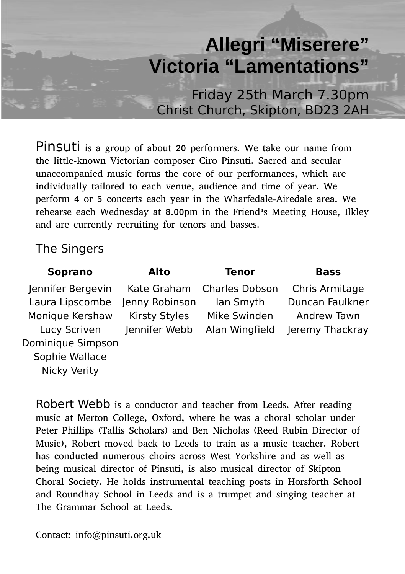# **Allegri "Miserere" Victoria "Lamentations"**

Friday 25th March 7.30pm Christ Church, Skipton, BD23 2AH

Pinsuti is a group of about 20 performers. We take our name from the little-known Victorian composer Ciro Pinsuti. Sacred and secular unaccompanied music forms the core of our performances, which are individually tailored to each venue, audience and time of year. We perform 4 or 5 concerts each year in the Wharfedale-Airedale area. We rehearse each Wednesday at 8.00pm in the Friend's Meeting House, Ilkley and are currently recruiting for tenors and basses.

## The Singers

| Soprano           | Alto           | Tenor                      | <b>Bass</b>     |
|-------------------|----------------|----------------------------|-----------------|
| Jennifer Bergevin |                | Kate Graham Charles Dobson | Chris Armitage  |
| Laura Lipscombe   | Jenny Robinson | lan Smyth                  | Duncan Faulkner |
| Monique Kershaw   | Kirsty Styles  | Mike Swinden               | Andrew Tawn     |
| Lucy Scriven      | Jennifer Webb  | Alan Wingfield             | Jeremy Thackray |
| Dominique Simpson |                |                            |                 |
| Sophie Wallace    |                |                            |                 |
| Nicky Verity      |                |                            |                 |

Robert Webb is a conductor and teacher from Leeds. After reading music at Merton College, Oxford, where he was a choral scholar under Peter Phillips (Tallis Scholars) and Ben Nicholas (Reed Rubin Director of Music), Robert moved back to Leeds to train as a music teacher. Robert has conducted numerous choirs across West Yorkshire and as well as being musical director of Pinsuti, is also musical director of Skipton Choral Society. He holds instrumental teaching posts in Horsforth School and Roundhay School in Leeds and is a trumpet and singing teacher at The Grammar School at Leeds.

Contact: info@pinsuti.org.uk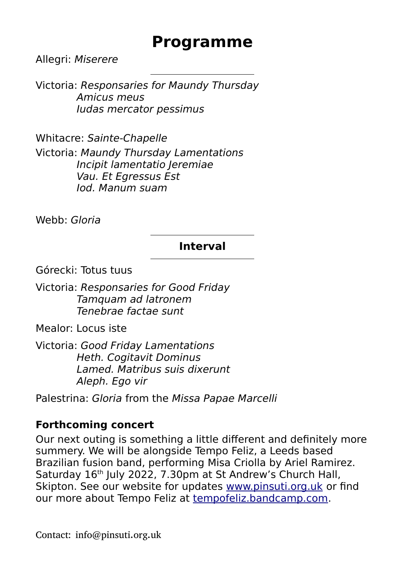# **Programme**

Allegri: Miserere

Victoria: Responsaries for Maundy Thursday Amicus meus Iudas mercator pessimus

Whitacre: Sainte-Chapelle Victoria: Maundy Thursday Lamentations Incipit lamentatio Jeremiae Vau. Et Egressus Est Iod. Manum suam

Webb: Gloria

#### **Interval**

Górecki: Totus tuus

Victoria: Responsaries for Good Friday Tamquam ad latronem Tenebrae factae sunt

Mealor: Locus iste

Victoria: Good Friday Lamentations Heth. Cogitavit Dominus Lamed. Matribus suis dixerunt Aleph. Ego vir

Palestrina: Gloria from the Missa Papae Marcelli

#### **Forthcoming concert**

Our next outing is something a little different and definitely more summery. We will be alongside Tempo Feliz, a Leeds based Brazilian fusion band, performing Misa Criolla by Ariel Ramirez. Saturday 16<sup>th</sup> July 2022, 7.30pm at St Andrew's Church Hall, Skipton. See our website for updates [www.pinsuti.org.uk](http://www.pinsuti.org.uk/) or find our more about Tempo Feliz at [tempofeliz.bandcamp.com](http://tempofeliz.bandcamp.com/).

Contact: info@pinsuti.org.uk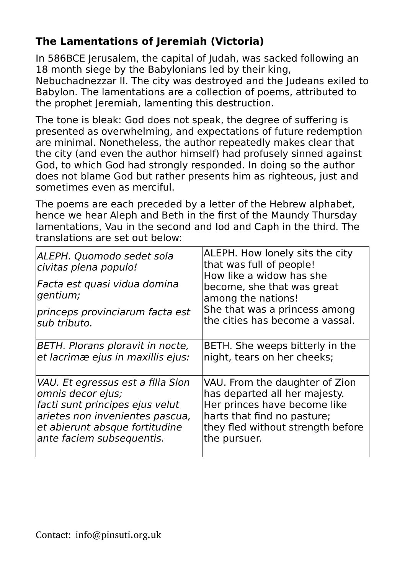# **The Lamentations of Jeremiah (Victoria)**

In 586BCE Jerusalem, the capital of Judah, was sacked following an 18 month siege by the Babylonians led by their king,

Nebuchadnezzar II. The city was destroyed and the Judeans exiled to Babylon. The lamentations are a collection of poems, attributed to the prophet Jeremiah, lamenting this destruction.

The tone is bleak: God does not speak, the degree of suffering is presented as overwhelming, and expectations of future redemption are minimal. Nonetheless, the author repeatedly makes clear that the city (and even the author himself) had profusely sinned against God, to which God had strongly responded. In doing so the author does not blame God but rather presents him as righteous, just and sometimes even as merciful.

The poems are each preceded by a letter of the Hebrew alphabet, hence we hear Aleph and Beth in the first of the Maundy Thursday lamentations, Vau in the second and Iod and Caph in the third. The translations are set out below:

| ALEPH. Quomodo sedet sola<br>civitas plena populo!<br>Facta est quasi vidua domina<br>gentium;<br>princeps provinciarum facta est<br>sub tributo. | ALEPH. How lonely sits the city<br>that was full of people!<br>How like a widow has she<br>become, she that was great<br>among the nations!<br>She that was a princess among<br>the cities has become a vassal. |
|---------------------------------------------------------------------------------------------------------------------------------------------------|-----------------------------------------------------------------------------------------------------------------------------------------------------------------------------------------------------------------|
| BETH. Plorans ploravit in nocte,                                                                                                                  | BETH. She weeps bitterly in the                                                                                                                                                                                 |
| et lacrimæ ejus in maxillis ejus:                                                                                                                 | night, tears on her cheeks;                                                                                                                                                                                     |
| VAU. Et egressus est a filia Sion                                                                                                                 | VAU. From the daughter of Zion                                                                                                                                                                                  |
| omnis decor ejus;                                                                                                                                 | has departed all her majesty.                                                                                                                                                                                   |
| facti sunt principes ejus velut                                                                                                                   | Her princes have become like                                                                                                                                                                                    |
| arietes non invenientes pascua,                                                                                                                   | harts that find no pasture;                                                                                                                                                                                     |
| et abierunt absque fortitudine                                                                                                                    | they fled without strength before                                                                                                                                                                               |
| ante faciem subsequentis.                                                                                                                         | the pursuer.                                                                                                                                                                                                    |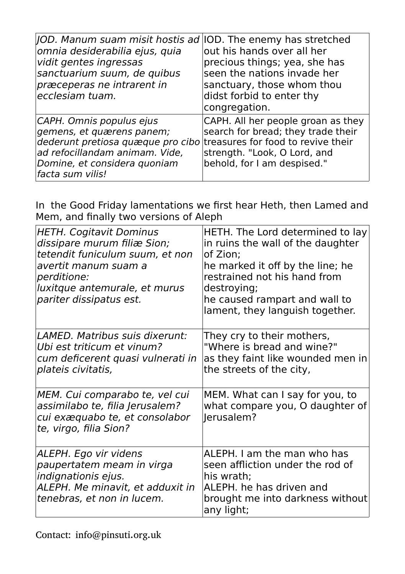| JOD. Manum suam misit hostis ad IOD. The enemy has stretched<br>omnia desiderabilia ejus, quia<br>vidit gentes ingressas<br>sanctuarium suum, de quibus<br>præceperas ne intrarent in<br>ecclesiam tuam.            | out his hands over all her<br>precious things; yea, she has<br>seen the nations invade her<br>sanctuary, those whom thou<br>didst forbid to enter thy<br>congregation. |
|---------------------------------------------------------------------------------------------------------------------------------------------------------------------------------------------------------------------|------------------------------------------------------------------------------------------------------------------------------------------------------------------------|
| CAPH. Omnis populus ejus<br>gemens, et quærens panem;<br>dederunt pretiosa quæque pro cibo treasures for food to revive their<br>ad refocillandam animam. Vide,<br>Domine, et considera quoniam<br>facta sum vilis! | CAPH. All her people groan as they<br>search for bread; they trade their<br>strength. "Look, O Lord, and<br>behold, for I am despised."                                |

In the Good Friday lamentations we first hear Heth, then Lamed and Mem, and finally two versions of Aleph

| <b>HETH. Cogitavit Dominus</b><br>dissipare murum filiæ Sion;<br>tetendit funiculum suum, et non<br>avertit manum suam a<br>perditione:<br>luxitque antemurale, et murus<br>pariter dissipatus est. | HETH. The Lord determined to lay<br>in ruins the wall of the daughter<br>of Zion:<br>he marked it off by the line; he<br>restrained not his hand from<br>destroying;<br>he caused rampart and wall to<br>lament, they languish together. |
|-----------------------------------------------------------------------------------------------------------------------------------------------------------------------------------------------------|------------------------------------------------------------------------------------------------------------------------------------------------------------------------------------------------------------------------------------------|
| LAMED. Matribus suis dixerunt:<br>Ubi est triticum et vinum?<br>cum deficerent quasi vulnerati in<br>plateis civitatis,                                                                             | They cry to their mothers,<br>"Where is bread and wine?"<br>as they faint like wounded men in<br>the streets of the city,                                                                                                                |
| MEM. Cui comparabo te, vel cui<br>assimilabo te, filia Jerusalem?<br>cui exæquabo te, et consolabor<br>te, virgo, filia Sion?                                                                       | MEM. What can I say for you, to<br>what compare you, O daughter of<br>Jerusalem?                                                                                                                                                         |
| ALEPH. Ego vir videns<br>paupertatem meam in virga<br>indignationis ejus.<br>ALEPH. Me minavit, et adduxit in<br>tenebras, et non in lucem.                                                         | ALEPH. I am the man who has<br>seen affliction under the rod of<br>his wrath;<br>ALEPH. he has driven and<br>brought me into darkness without<br>any light;                                                                              |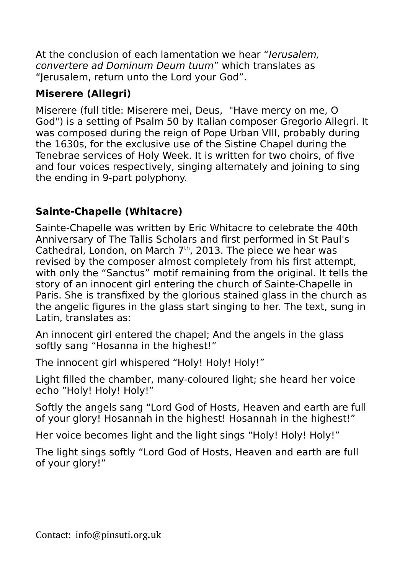At the conclusion of each lamentation we hear "Ierusalem. convertere ad Dominum Deum tuum" which translates as "Jerusalem, return unto the Lord your God".

# **Miserere (Allegri)**

Miserere (full title: Miserere mei, Deus, "Have mercy on me, O God") is a setting of Psalm 50 by Italian composer Gregorio Allegri. It was composed during the reign of Pope Urban VIII, probably during the 1630s, for the exclusive use of the Sistine Chapel during the Tenebrae services of Holy Week. It is written for two choirs, of five and four voices respectively, singing alternately and joining to sing the ending in 9-part polyphony.

# **Sainte-Chapelle (Whitacre)**

Sainte-Chapelle was written by Eric Whitacre to celebrate the 40th Anniversary of The Tallis Scholars and first performed in St Paul's Cathedral, London, on March 7th, 2013. The piece we hear was revised by the composer almost completely from his first attempt, with only the "Sanctus" motif remaining from the original. It tells the story of an innocent girl entering the church of Sainte-Chapelle in Paris. She is transfixed by the glorious stained glass in the church as the angelic figures in the glass start singing to her. The text, sung in Latin, translates as:

An innocent girl entered the chapel; And the angels in the glass softly sang "Hosanna in the highest!"

The innocent girl whispered "Holy! Holy! Holy!"

Light filled the chamber, many-coloured light; she heard her voice echo "Holy! Holy! Holy!"

Softly the angels sang "Lord God of Hosts, Heaven and earth are full of your glory! Hosannah in the highest! Hosannah in the highest!"

Her voice becomes light and the light sings "Holy! Holy! Holy!"

The light sings softly "Lord God of Hosts, Heaven and earth are full of your glory!"